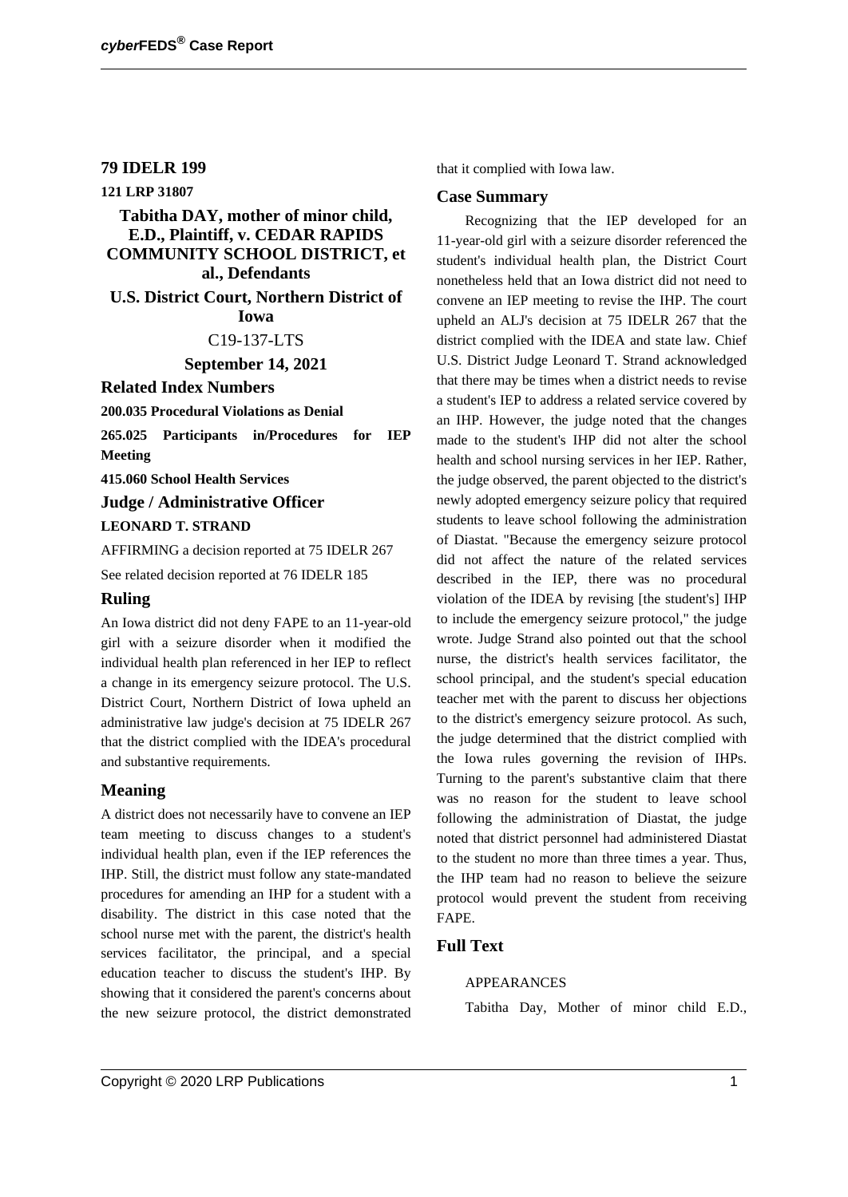### **79 IDELR 199**

**121 LRP 31807**

## **Tabitha DAY, mother of minor child, E.D., Plaintiff, v. CEDAR RAPIDS COMMUNITY SCHOOL DISTRICT, et al., Defendants**

**U.S. District Court, Northern District of Iowa**

#### C19-137-LTS

**September 14, 2021**

#### **Related Index Numbers**

**200.035 Procedural Violations as Denial**

**265.025 Participants in/Procedures for IEP Meeting**

**415.060 School Health Services**

# **Judge / Administrative Officer**

#### **LEONARD T. STRAND**

AFFIRMING a decision reported at 75 IDELR 267 See related decision reported at 76 IDELR 185

#### **Ruling**

An Iowa district did not deny FAPE to an 11-year-old girl with a seizure disorder when it modified the individual health plan referenced in her IEP to reflect a change in its emergency seizure protocol. The U.S. District Court, Northern District of Iowa upheld an administrative law judge's decision at 75 IDELR 267 that the district complied with the IDEA's procedural and substantive requirements.

#### **Meaning**

A district does not necessarily have to convene an IEP team meeting to discuss changes to a student's individual health plan, even if the IEP references the IHP. Still, the district must follow any state-mandated procedures for amending an IHP for a student with a disability. The district in this case noted that the school nurse met with the parent, the district's health services facilitator, the principal, and a special education teacher to discuss the student's IHP. By showing that it considered the parent's concerns about the new seizure protocol, the district demonstrated that it complied with Iowa law.

#### **Case Summary**

Recognizing that the IEP developed for an 11-year-old girl with a seizure disorder referenced the student's individual health plan, the District Court nonetheless held that an Iowa district did not need to convene an IEP meeting to revise the IHP. The court upheld an ALJ's decision at 75 IDELR 267 that the district complied with the IDEA and state law. Chief U.S. District Judge Leonard T. Strand acknowledged that there may be times when a district needs to revise a student's IEP to address a related service covered by an IHP. However, the judge noted that the changes made to the student's IHP did not alter the school health and school nursing services in her IEP. Rather, the judge observed, the parent objected to the district's newly adopted emergency seizure policy that required students to leave school following the administration of Diastat. "Because the emergency seizure protocol did not affect the nature of the related services described in the IEP, there was no procedural violation of the IDEA by revising [the student's] IHP to include the emergency seizure protocol," the judge wrote. Judge Strand also pointed out that the school nurse, the district's health services facilitator, the school principal, and the student's special education teacher met with the parent to discuss her objections to the district's emergency seizure protocol. As such, the judge determined that the district complied with the Iowa rules governing the revision of IHPs. Turning to the parent's substantive claim that there was no reason for the student to leave school following the administration of Diastat, the judge noted that district personnel had administered Diastat to the student no more than three times a year. Thus, the IHP team had no reason to believe the seizure protocol would prevent the student from receiving FAPE.

## **Full Text**

### APPEARANCES

Tabitha Day, Mother of minor child E.D.,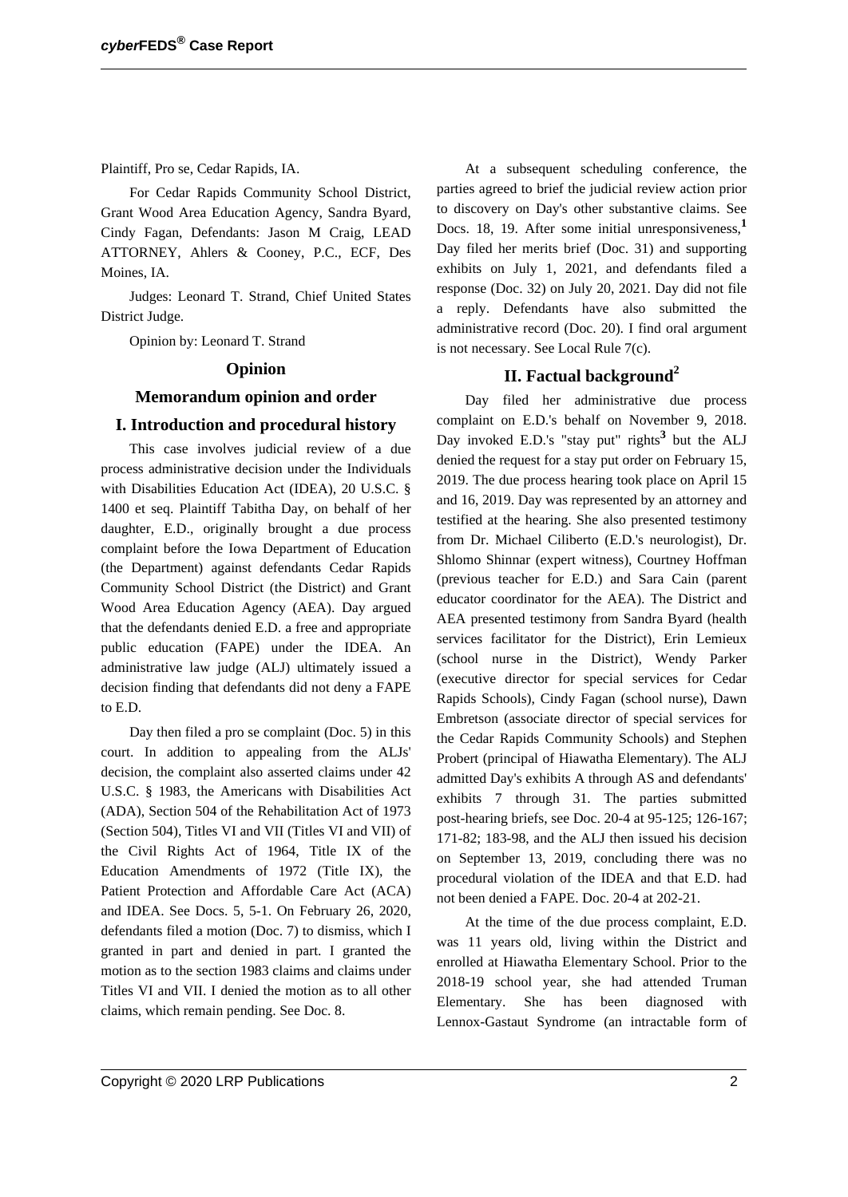For Cedar Rapids Community School District, Grant Wood Area Education Agency, Sandra Byard, Cindy Fagan, Defendants: Jason M Craig, LEAD ATTORNEY, Ahlers & Cooney, P.C., ECF, Des Moines, IA.

Judges: Leonard T. Strand, Chief United States District Judge.

Opinion by: Leonard T. Strand

#### **Opinion**

### **Memorandum opinion and order**

## **I. Introduction and procedural history**

This case involves judicial review of a due process administrative decision under the Individuals with Disabilities Education Act (IDEA), 20 U.S.C. § 1400 et seq. Plaintiff Tabitha Day, on behalf of her daughter, E.D., originally brought a due process complaint before the Iowa Department of Education (the Department) against defendants Cedar Rapids Community School District (the District) and Grant Wood Area Education Agency (AEA). Day argued that the defendants denied E.D. a free and appropriate public education (FAPE) under the IDEA. An administrative law judge (ALJ) ultimately issued a decision finding that defendants did not deny a FAPE to E.D.

Day then filed a pro se complaint (Doc. 5) in this court. In addition to appealing from the ALJs' decision, the complaint also asserted claims under 42 U.S.C. § 1983, the Americans with Disabilities Act (ADA), Section 504 of the Rehabilitation Act of 1973 (Section 504), Titles VI and VII (Titles VI and VII) of the Civil Rights Act of 1964, Title IX of the Education Amendments of 1972 (Title IX), the Patient Protection and Affordable Care Act (ACA) and IDEA. See Docs. 5, 5-1. On February 26, 2020, defendants filed a motion (Doc. 7) to dismiss, which I granted in part and denied in part. I granted the motion as to the section 1983 claims and claims under Titles VI and VII. I denied the motion as to all other claims, which remain pending. See Doc. 8.

At a subsequent scheduling conference, the parties agreed to brief the judicial review action prior to discovery on Day's other substantive claims. See Docs. 18, 19. After some initial unresponsiveness,**<sup>1</sup>** Day filed her merits brief (Doc. 31) and supporting exhibits on July 1, 2021, and defendants filed a response (Doc. 32) on July 20, 2021. Day did not file a reply. Defendants have also submitted the administrative record (Doc. 20). I find oral argument is not necessary. See Local Rule 7(c).

## **II. Factual background<sup>2</sup>**

Day filed her administrative due process complaint on E.D.'s behalf on November 9, 2018. Day invoked E.D.'s "stay put" rights**<sup>3</sup>** but the ALJ denied the request for a stay put order on February 15, 2019. The due process hearing took place on April 15 and 16, 2019. Day was represented by an attorney and testified at the hearing. She also presented testimony from Dr. Michael Ciliberto (E.D.'s neurologist), Dr. Shlomo Shinnar (expert witness), Courtney Hoffman (previous teacher for E.D.) and Sara Cain (parent educator coordinator for the AEA). The District and AEA presented testimony from Sandra Byard (health services facilitator for the District), Erin Lemieux (school nurse in the District), Wendy Parker (executive director for special services for Cedar Rapids Schools), Cindy Fagan (school nurse), Dawn Embretson (associate director of special services for the Cedar Rapids Community Schools) and Stephen Probert (principal of Hiawatha Elementary). The ALJ admitted Day's exhibits A through AS and defendants' exhibits 7 through 31. The parties submitted post-hearing briefs, see Doc. 20-4 at 95-125; 126-167; 171-82; 183-98, and the ALJ then issued his decision on September 13, 2019, concluding there was no procedural violation of the IDEA and that E.D. had not been denied a FAPE. Doc. 20-4 at 202-21.

At the time of the due process complaint, E.D. was 11 years old, living within the District and enrolled at Hiawatha Elementary School. Prior to the 2018-19 school year, she had attended Truman Elementary. She has been diagnosed with Lennox-Gastaut Syndrome (an intractable form of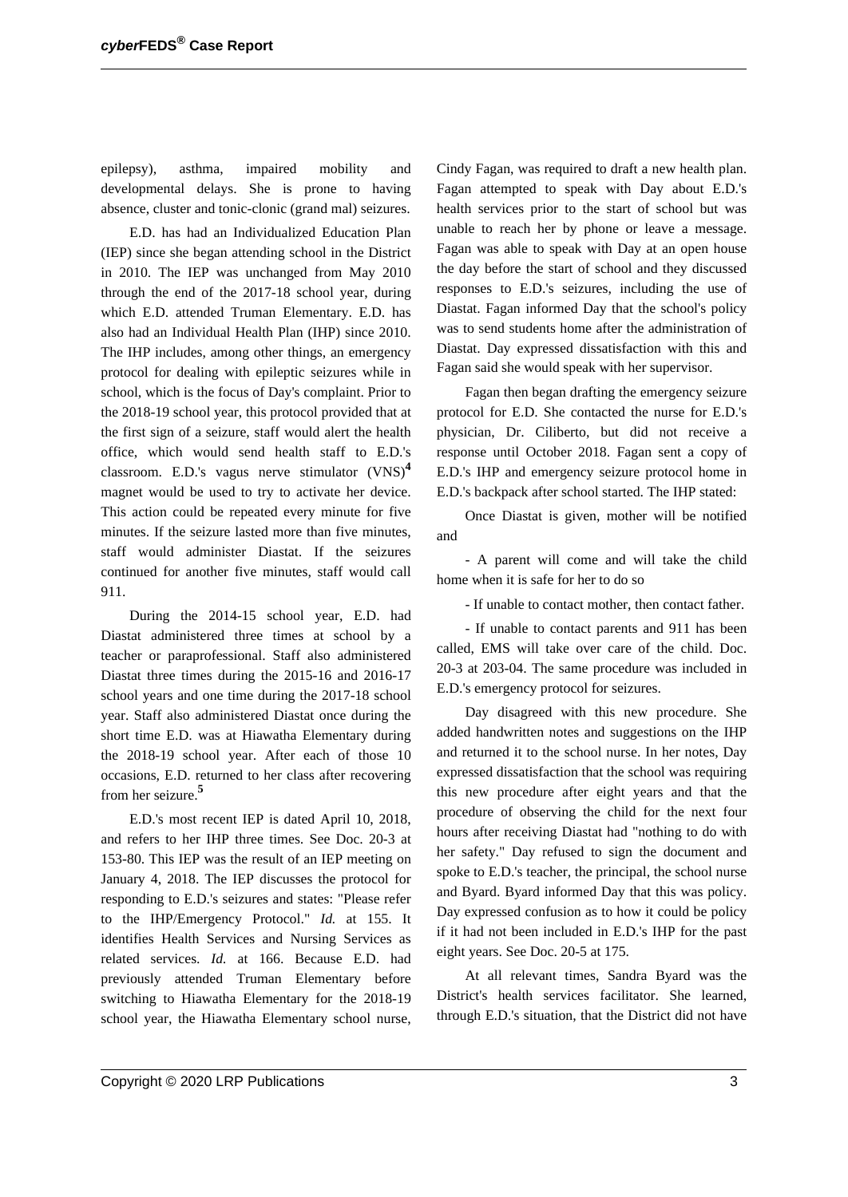epilepsy), asthma, impaired mobility and developmental delays. She is prone to having absence, cluster and tonic-clonic (grand mal) seizures.

E.D. has had an Individualized Education Plan (IEP) since she began attending school in the District in 2010. The IEP was unchanged from May 2010 through the end of the 2017-18 school year, during which E.D. attended Truman Elementary. E.D. has also had an Individual Health Plan (IHP) since 2010. The IHP includes, among other things, an emergency protocol for dealing with epileptic seizures while in school, which is the focus of Day's complaint. Prior to the 2018-19 school year, this protocol provided that at the first sign of a seizure, staff would alert the health office, which would send health staff to E.D.'s classroom. E.D.'s vagus nerve stimulator (VNS)**<sup>4</sup>** magnet would be used to try to activate her device. This action could be repeated every minute for five minutes. If the seizure lasted more than five minutes, staff would administer Diastat. If the seizures continued for another five minutes, staff would call 911.

During the 2014-15 school year, E.D. had Diastat administered three times at school by a teacher or paraprofessional. Staff also administered Diastat three times during the 2015-16 and 2016-17 school years and one time during the 2017-18 school year. Staff also administered Diastat once during the short time E.D. was at Hiawatha Elementary during the 2018-19 school year. After each of those 10 occasions, E.D. returned to her class after recovering from her seizure.**<sup>5</sup>**

E.D.'s most recent IEP is dated April 10, 2018, and refers to her IHP three times. See Doc. 20-3 at 153-80. This IEP was the result of an IEP meeting on January 4, 2018. The IEP discusses the protocol for responding to E.D.'s seizures and states: "Please refer to the IHP/Emergency Protocol." *Id.* at 155. It identifies Health Services and Nursing Services as related services. *Id.* at 166. Because E.D. had previously attended Truman Elementary before switching to Hiawatha Elementary for the 2018-19 school year, the Hiawatha Elementary school nurse, Cindy Fagan, was required to draft a new health plan. Fagan attempted to speak with Day about E.D.'s health services prior to the start of school but was unable to reach her by phone or leave a message. Fagan was able to speak with Day at an open house the day before the start of school and they discussed responses to E.D.'s seizures, including the use of Diastat. Fagan informed Day that the school's policy was to send students home after the administration of Diastat. Day expressed dissatisfaction with this and Fagan said she would speak with her supervisor.

Fagan then began drafting the emergency seizure protocol for E.D. She contacted the nurse for E.D.'s physician, Dr. Ciliberto, but did not receive a response until October 2018. Fagan sent a copy of E.D.'s IHP and emergency seizure protocol home in E.D.'s backpack after school started. The IHP stated:

Once Diastat is given, mother will be notified and

- A parent will come and will take the child home when it is safe for her to do so

- If unable to contact mother, then contact father.

- If unable to contact parents and 911 has been called, EMS will take over care of the child. Doc. 20-3 at 203-04. The same procedure was included in E.D.'s emergency protocol for seizures.

Day disagreed with this new procedure. She added handwritten notes and suggestions on the IHP and returned it to the school nurse. In her notes, Day expressed dissatisfaction that the school was requiring this new procedure after eight years and that the procedure of observing the child for the next four hours after receiving Diastat had "nothing to do with her safety." Day refused to sign the document and spoke to E.D.'s teacher, the principal, the school nurse and Byard. Byard informed Day that this was policy. Day expressed confusion as to how it could be policy if it had not been included in E.D.'s IHP for the past eight years. See Doc. 20-5 at 175.

At all relevant times, Sandra Byard was the District's health services facilitator. She learned, through E.D.'s situation, that the District did not have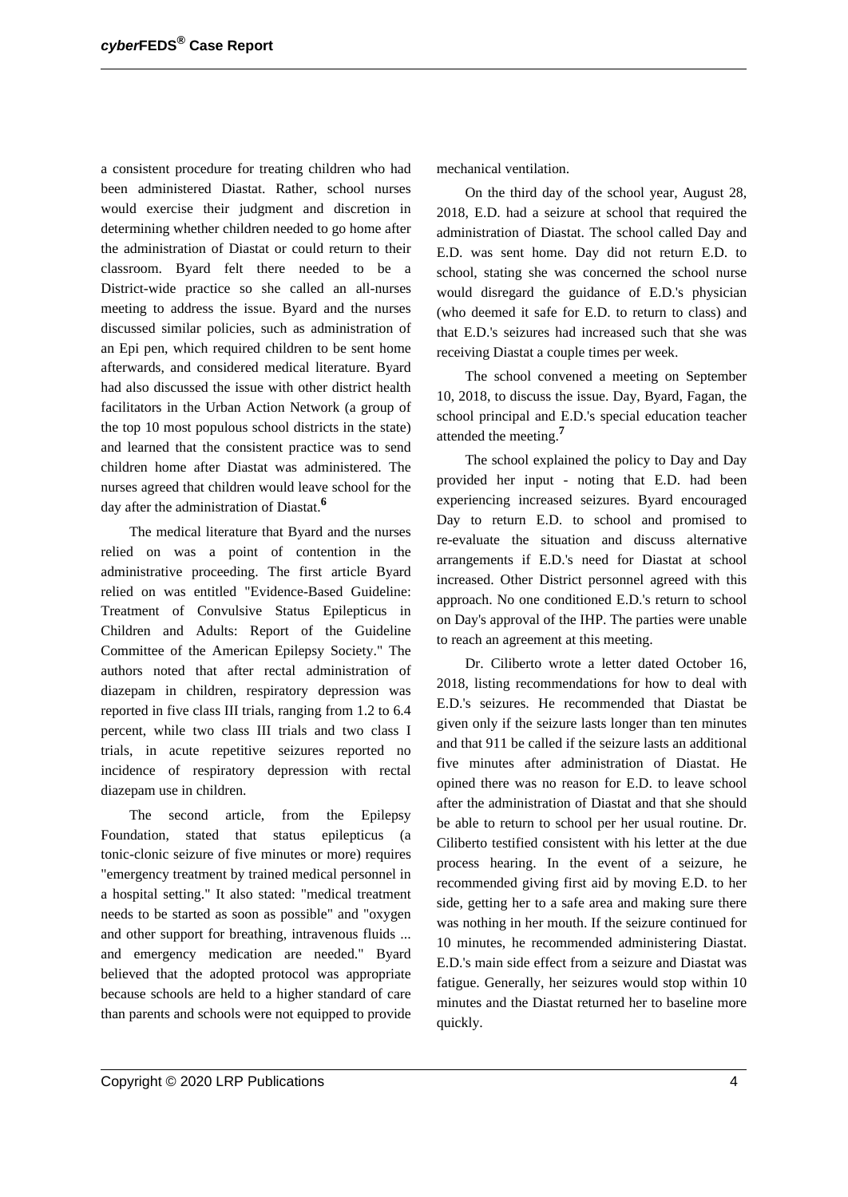a consistent procedure for treating children who had been administered Diastat. Rather, school nurses would exercise their judgment and discretion in determining whether children needed to go home after the administration of Diastat or could return to their classroom. Byard felt there needed to be a District-wide practice so she called an all-nurses meeting to address the issue. Byard and the nurses discussed similar policies, such as administration of an Epi pen, which required children to be sent home afterwards, and considered medical literature. Byard had also discussed the issue with other district health facilitators in the Urban Action Network (a group of the top 10 most populous school districts in the state) and learned that the consistent practice was to send children home after Diastat was administered. The nurses agreed that children would leave school for the day after the administration of Diastat.**<sup>6</sup>**

The medical literature that Byard and the nurses relied on was a point of contention in the administrative proceeding. The first article Byard relied on was entitled "Evidence-Based Guideline: Treatment of Convulsive Status Epilepticus in Children and Adults: Report of the Guideline Committee of the American Epilepsy Society." The authors noted that after rectal administration of diazepam in children, respiratory depression was reported in five class III trials, ranging from 1.2 to 6.4 percent, while two class III trials and two class I trials, in acute repetitive seizures reported no incidence of respiratory depression with rectal diazepam use in children.

The second article, from the Epilepsy Foundation, stated that status epilepticus (a tonic-clonic seizure of five minutes or more) requires "emergency treatment by trained medical personnel in a hospital setting." It also stated: "medical treatment needs to be started as soon as possible" and "oxygen and other support for breathing, intravenous fluids ... and emergency medication are needed." Byard believed that the adopted protocol was appropriate because schools are held to a higher standard of care than parents and schools were not equipped to provide mechanical ventilation.

On the third day of the school year, August 28, 2018, E.D. had a seizure at school that required the administration of Diastat. The school called Day and E.D. was sent home. Day did not return E.D. to school, stating she was concerned the school nurse would disregard the guidance of E.D.'s physician (who deemed it safe for E.D. to return to class) and that E.D.'s seizures had increased such that she was receiving Diastat a couple times per week.

The school convened a meeting on September 10, 2018, to discuss the issue. Day, Byard, Fagan, the school principal and E.D.'s special education teacher attended the meeting.**<sup>7</sup>**

The school explained the policy to Day and Day provided her input - noting that E.D. had been experiencing increased seizures. Byard encouraged Day to return E.D. to school and promised to re-evaluate the situation and discuss alternative arrangements if E.D.'s need for Diastat at school increased. Other District personnel agreed with this approach. No one conditioned E.D.'s return to school on Day's approval of the IHP. The parties were unable to reach an agreement at this meeting.

Dr. Ciliberto wrote a letter dated October 16, 2018, listing recommendations for how to deal with E.D.'s seizures. He recommended that Diastat be given only if the seizure lasts longer than ten minutes and that 911 be called if the seizure lasts an additional five minutes after administration of Diastat. He opined there was no reason for E.D. to leave school after the administration of Diastat and that she should be able to return to school per her usual routine. Dr. Ciliberto testified consistent with his letter at the due process hearing. In the event of a seizure, he recommended giving first aid by moving E.D. to her side, getting her to a safe area and making sure there was nothing in her mouth. If the seizure continued for 10 minutes, he recommended administering Diastat. E.D.'s main side effect from a seizure and Diastat was fatigue. Generally, her seizures would stop within 10 minutes and the Diastat returned her to baseline more quickly.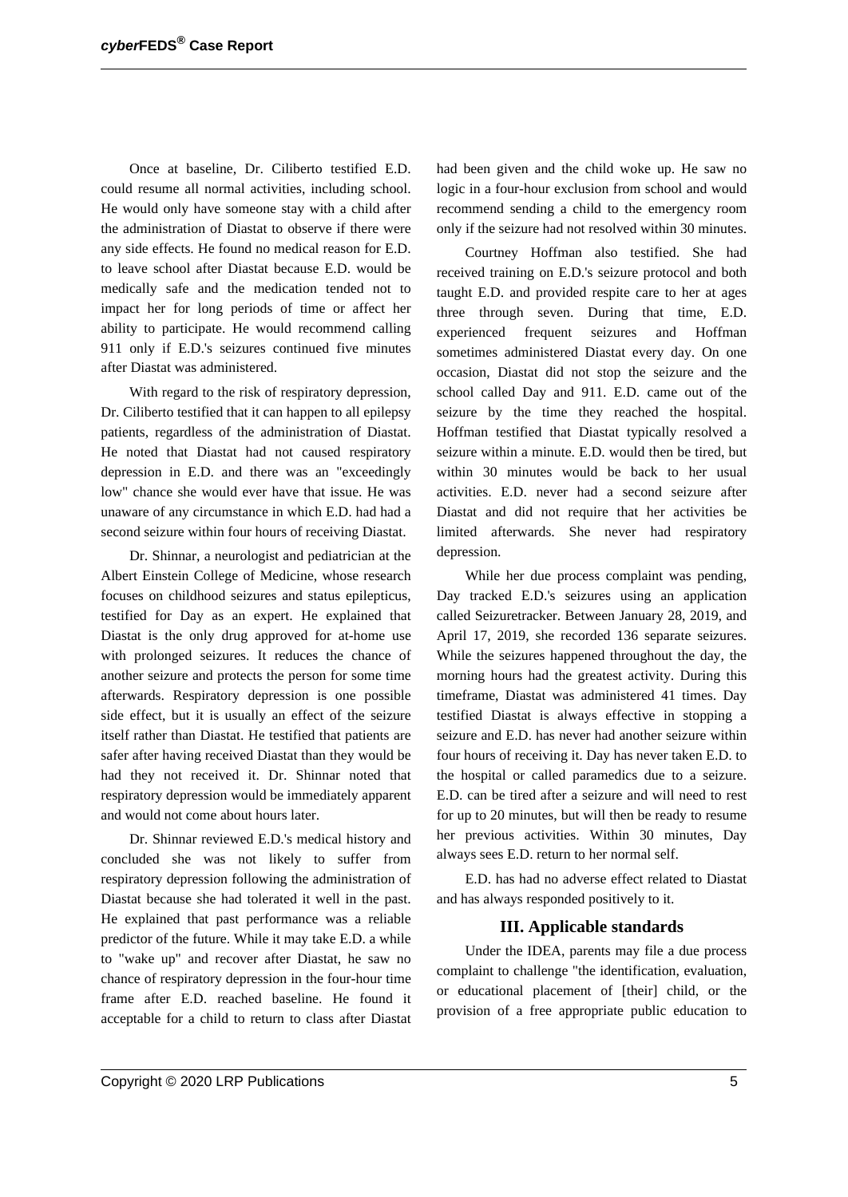Once at baseline, Dr. Ciliberto testified E.D. could resume all normal activities, including school. He would only have someone stay with a child after the administration of Diastat to observe if there were any side effects. He found no medical reason for E.D. to leave school after Diastat because E.D. would be medically safe and the medication tended not to impact her for long periods of time or affect her ability to participate. He would recommend calling 911 only if E.D.'s seizures continued five minutes after Diastat was administered.

With regard to the risk of respiratory depression, Dr. Ciliberto testified that it can happen to all epilepsy patients, regardless of the administration of Diastat. He noted that Diastat had not caused respiratory depression in E.D. and there was an "exceedingly low" chance she would ever have that issue. He was unaware of any circumstance in which E.D. had had a second seizure within four hours of receiving Diastat.

Dr. Shinnar, a neurologist and pediatrician at the Albert Einstein College of Medicine, whose research focuses on childhood seizures and status epilepticus, testified for Day as an expert. He explained that Diastat is the only drug approved for at-home use with prolonged seizures. It reduces the chance of another seizure and protects the person for some time afterwards. Respiratory depression is one possible side effect, but it is usually an effect of the seizure itself rather than Diastat. He testified that patients are safer after having received Diastat than they would be had they not received it. Dr. Shinnar noted that respiratory depression would be immediately apparent and would not come about hours later.

Dr. Shinnar reviewed E.D.'s medical history and concluded she was not likely to suffer from respiratory depression following the administration of Diastat because she had tolerated it well in the past. He explained that past performance was a reliable predictor of the future. While it may take E.D. a while to "wake up" and recover after Diastat, he saw no chance of respiratory depression in the four-hour time frame after E.D. reached baseline. He found it acceptable for a child to return to class after Diastat had been given and the child woke up. He saw no logic in a four-hour exclusion from school and would recommend sending a child to the emergency room only if the seizure had not resolved within 30 minutes.

Courtney Hoffman also testified. She had received training on E.D.'s seizure protocol and both taught E.D. and provided respite care to her at ages three through seven. During that time, E.D. experienced frequent seizures and Hoffman sometimes administered Diastat every day. On one occasion, Diastat did not stop the seizure and the school called Day and 911. E.D. came out of the seizure by the time they reached the hospital. Hoffman testified that Diastat typically resolved a seizure within a minute. E.D. would then be tired, but within 30 minutes would be back to her usual activities. E.D. never had a second seizure after Diastat and did not require that her activities be limited afterwards. She never had respiratory depression.

While her due process complaint was pending, Day tracked E.D.'s seizures using an application called Seizuretracker. Between January 28, 2019, and April 17, 2019, she recorded 136 separate seizures. While the seizures happened throughout the day, the morning hours had the greatest activity. During this timeframe, Diastat was administered 41 times. Day testified Diastat is always effective in stopping a seizure and E.D. has never had another seizure within four hours of receiving it. Day has never taken E.D. to the hospital or called paramedics due to a seizure. E.D. can be tired after a seizure and will need to rest for up to 20 minutes, but will then be ready to resume her previous activities. Within 30 minutes, Day always sees E.D. return to her normal self.

E.D. has had no adverse effect related to Diastat and has always responded positively to it.

### **III. Applicable standards**

Under the IDEA, parents may file a due process complaint to challenge "the identification, evaluation, or educational placement of [their] child, or the provision of a free appropriate public education to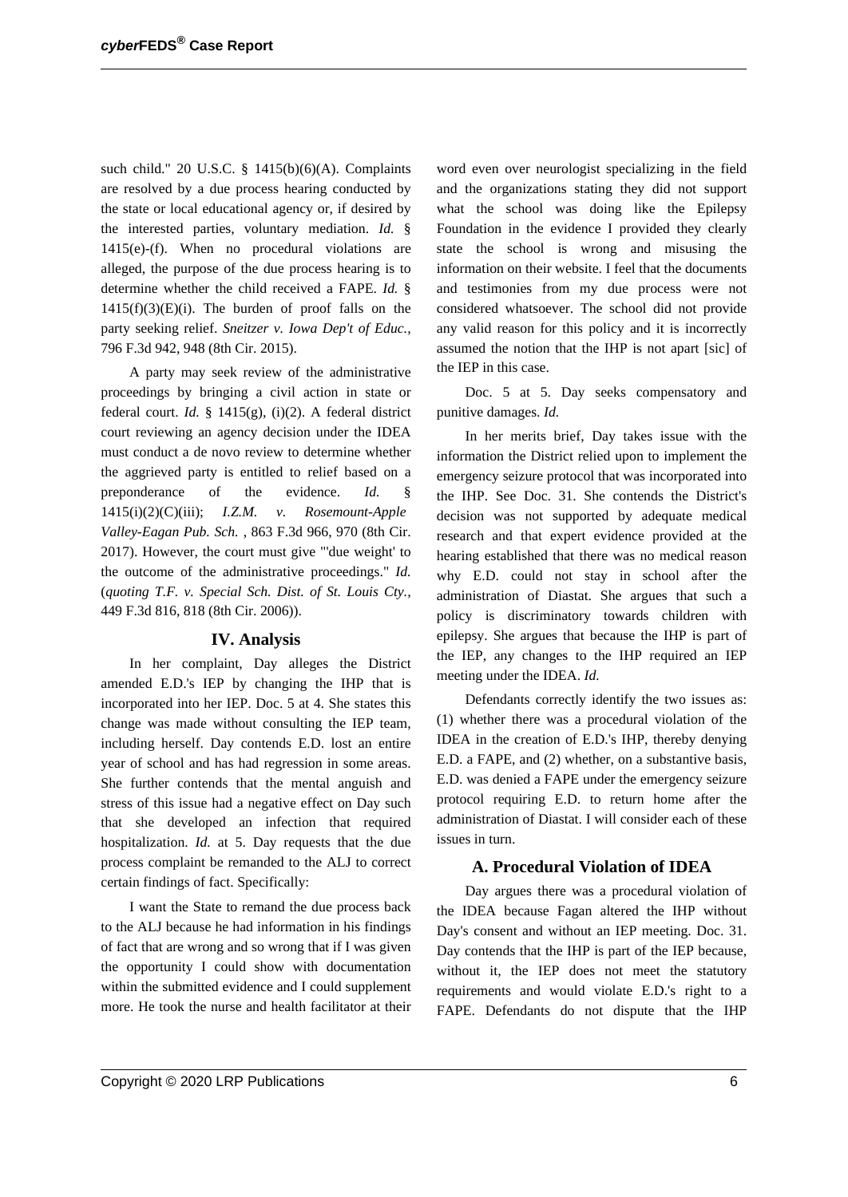such child." 20 U.S.C. § 1415(b)(6)(A). Complaints are resolved by a due process hearing conducted by the state or local educational agency or, if desired by the interested parties, voluntary mediation. *Id.* § 1415(e)-(f). When no procedural violations are alleged, the purpose of the due process hearing is to determine whether the child received a FAPE. *Id.* §  $1415(f)(3)(E)(i)$ . The burden of proof falls on the party seeking relief. *Sneitzer v. Iowa Dep't of Educ.,* 796 F.3d 942, 948 (8th Cir. 2015).

A party may seek review of the administrative proceedings by bringing a civil action in state or federal court. *Id.* § 1415(g), (i)(2). A federal district court reviewing an agency decision under the IDEA must conduct a de novo review to determine whether the aggrieved party is entitled to relief based on a preponderance of the evidence. *Id.* § 1415(i)(2)(C)(iii); *I.Z.M. v. Rosemount-Apple Valley-Eagan Pub. Sch.* , 863 F.3d 966, 970 (8th Cir. 2017). However, the court must give "'due weight' to the outcome of the administrative proceedings." *Id.* (*quoting T.F. v. Special Sch. Dist. of St. Louis Cty.,* 449 F.3d 816, 818 (8th Cir. 2006)).

### **IV. Analysis**

In her complaint, Day alleges the District amended E.D.'s IEP by changing the IHP that is incorporated into her IEP. Doc. 5 at 4. She states this change was made without consulting the IEP team, including herself. Day contends E.D. lost an entire year of school and has had regression in some areas. She further contends that the mental anguish and stress of this issue had a negative effect on Day such that she developed an infection that required hospitalization. *Id.* at 5. Day requests that the due process complaint be remanded to the ALJ to correct certain findings of fact. Specifically:

I want the State to remand the due process back to the ALJ because he had information in his findings of fact that are wrong and so wrong that if I was given the opportunity I could show with documentation within the submitted evidence and I could supplement more. He took the nurse and health facilitator at their

word even over neurologist specializing in the field and the organizations stating they did not support what the school was doing like the Epilepsy Foundation in the evidence I provided they clearly state the school is wrong and misusing the information on their website. I feel that the documents and testimonies from my due process were not considered whatsoever. The school did not provide any valid reason for this policy and it is incorrectly assumed the notion that the IHP is not apart [sic] of the IEP in this case.

Doc. 5 at 5. Day seeks compensatory and punitive damages. *Id.*

In her merits brief, Day takes issue with the information the District relied upon to implement the emergency seizure protocol that was incorporated into the IHP. See Doc. 31. She contends the District's decision was not supported by adequate medical research and that expert evidence provided at the hearing established that there was no medical reason why E.D. could not stay in school after the administration of Diastat. She argues that such a policy is discriminatory towards children with epilepsy. She argues that because the IHP is part of the IEP, any changes to the IHP required an IEP meeting under the IDEA. *Id.*

Defendants correctly identify the two issues as: (1) whether there was a procedural violation of the IDEA in the creation of E.D.'s IHP, thereby denying E.D. a FAPE, and (2) whether, on a substantive basis, E.D. was denied a FAPE under the emergency seizure protocol requiring E.D. to return home after the administration of Diastat. I will consider each of these issues in turn.

#### **A. Procedural Violation of IDEA**

Day argues there was a procedural violation of the IDEA because Fagan altered the IHP without Day's consent and without an IEP meeting. Doc. 31. Day contends that the IHP is part of the IEP because, without it, the IEP does not meet the statutory requirements and would violate E.D.'s right to a FAPE. Defendants do not dispute that the IHP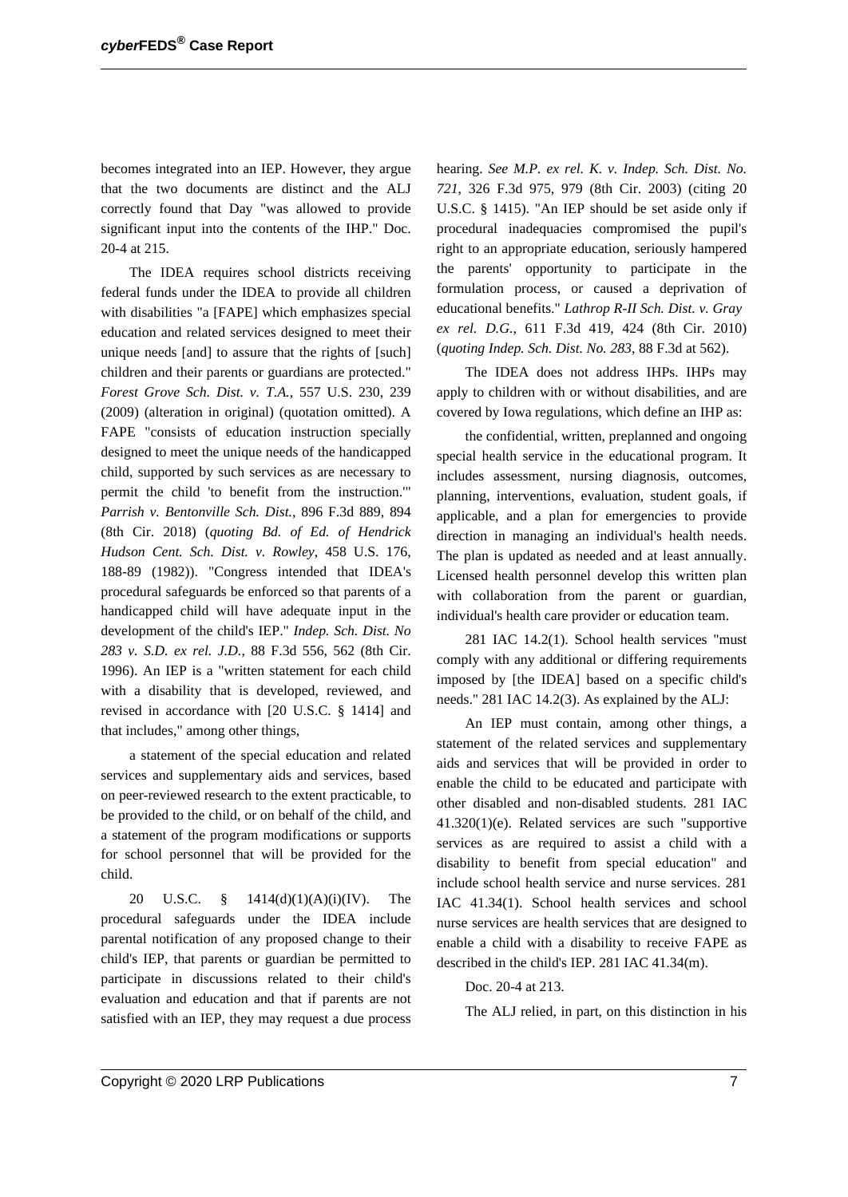becomes integrated into an IEP. However, they argue that the two documents are distinct and the ALJ correctly found that Day "was allowed to provide significant input into the contents of the IHP." Doc. 20-4 at 215.

The IDEA requires school districts receiving federal funds under the IDEA to provide all children with disabilities "a [FAPE] which emphasizes special education and related services designed to meet their unique needs [and] to assure that the rights of [such] children and their parents or guardians are protected." *Forest Grove Sch. Dist. v. T.A.,* 557 U.S. 230, 239 (2009) (alteration in original) (quotation omitted). A FAPE "consists of education instruction specially designed to meet the unique needs of the handicapped child, supported by such services as are necessary to permit the child 'to benefit from the instruction.'" *Parrish v. Bentonville Sch. Dist.*, 896 F.3d 889, 894 (8th Cir. 2018) (*quoting Bd. of Ed. of Hendrick Hudson Cent. Sch. Dist. v. Rowley*, 458 U.S. 176, 188-89 (1982)). "Congress intended that IDEA's procedural safeguards be enforced so that parents of a handicapped child will have adequate input in the development of the child's IEP." *Indep. Sch. Dist. No 283 v. S.D. ex rel. J.D.*, 88 F.3d 556, 562 (8th Cir. 1996). An IEP is a "written statement for each child with a disability that is developed, reviewed, and revised in accordance with [20 U.S.C. § 1414] and that includes," among other things,

a statement of the special education and related services and supplementary aids and services, based on peer-reviewed research to the extent practicable, to be provided to the child, or on behalf of the child, and a statement of the program modifications or supports for school personnel that will be provided for the child.

20 U.S.C. § 1414(d)(1)(A)(i)(IV). The procedural safeguards under the IDEA include parental notification of any proposed change to their child's IEP, that parents or guardian be permitted to participate in discussions related to their child's evaluation and education and that if parents are not satisfied with an IEP, they may request a due process

hearing. *See M.P. ex rel. K. v. Indep. Sch. Dist. No. 721*, 326 F.3d 975, 979 (8th Cir. 2003) (citing 20 U.S.C. § 1415). "An IEP should be set aside only if procedural inadequacies compromised the pupil's right to an appropriate education, seriously hampered the parents' opportunity to participate in the formulation process, or caused a deprivation of educational benefits." *Lathrop R-II Sch. Dist. v. Gray ex rel. D.G.*, 611 F.3d 419, 424 (8th Cir. 2010) (*quoting Indep. Sch. Dist. No. 283*, 88 F.3d at 562).

The IDEA does not address IHPs. IHPs may apply to children with or without disabilities, and are covered by Iowa regulations, which define an IHP as:

the confidential, written, preplanned and ongoing special health service in the educational program. It includes assessment, nursing diagnosis, outcomes, planning, interventions, evaluation, student goals, if applicable, and a plan for emergencies to provide direction in managing an individual's health needs. The plan is updated as needed and at least annually. Licensed health personnel develop this written plan with collaboration from the parent or guardian, individual's health care provider or education team.

281 IAC 14.2(1). School health services "must comply with any additional or differing requirements imposed by [the IDEA] based on a specific child's needs." 281 IAC 14.2(3). As explained by the ALJ:

An IEP must contain, among other things, a statement of the related services and supplementary aids and services that will be provided in order to enable the child to be educated and participate with other disabled and non-disabled students. 281 IAC 41.320(1)(e). Related services are such "supportive services as are required to assist a child with a disability to benefit from special education" and include school health service and nurse services. 281 IAC 41.34(1). School health services and school nurse services are health services that are designed to enable a child with a disability to receive FAPE as described in the child's IEP. 281 IAC 41.34(m).

Doc. 20-4 at 213.

The ALJ relied, in part, on this distinction in his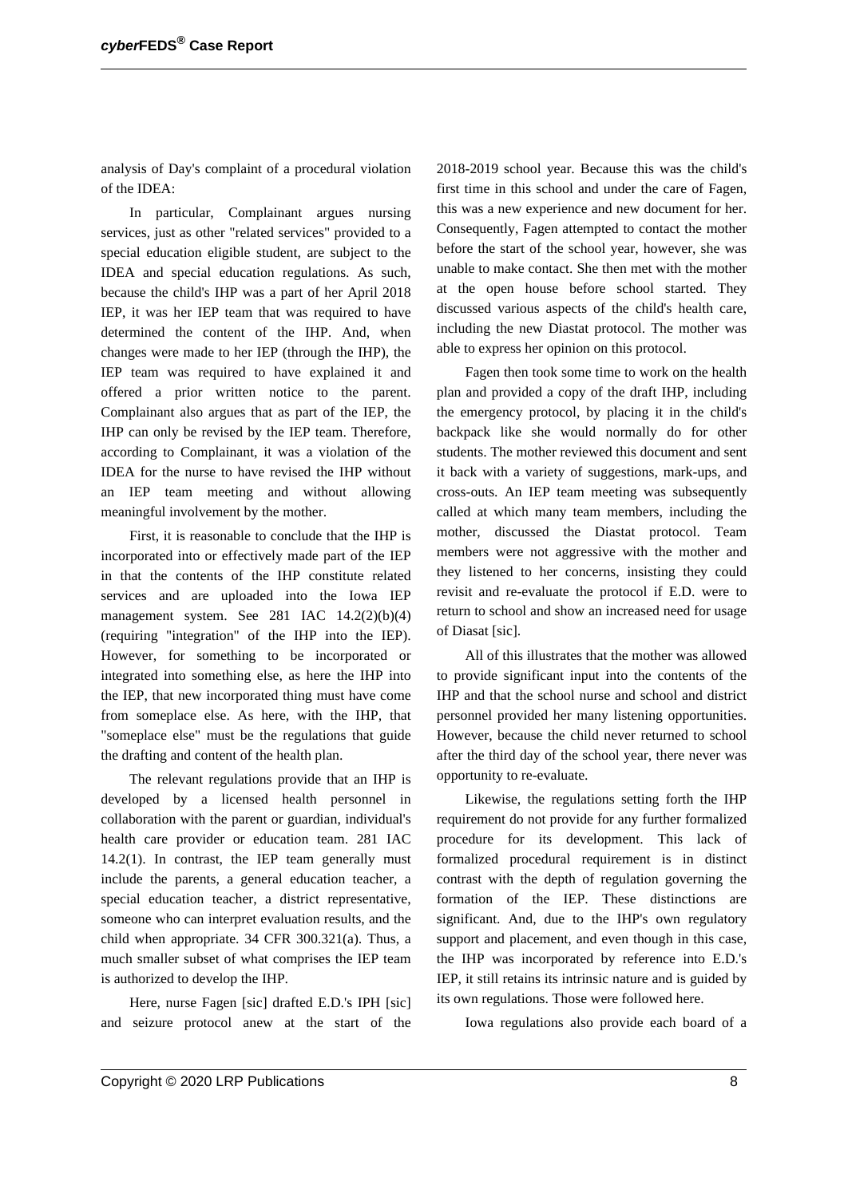analysis of Day's complaint of a procedural violation of the IDEA:

In particular, Complainant argues nursing services, just as other "related services" provided to a special education eligible student, are subject to the IDEA and special education regulations. As such, because the child's IHP was a part of her April 2018 IEP, it was her IEP team that was required to have determined the content of the IHP. And, when changes were made to her IEP (through the IHP), the IEP team was required to have explained it and offered a prior written notice to the parent. Complainant also argues that as part of the IEP, the IHP can only be revised by the IEP team. Therefore, according to Complainant, it was a violation of the IDEA for the nurse to have revised the IHP without an IEP team meeting and without allowing meaningful involvement by the mother.

First, it is reasonable to conclude that the IHP is incorporated into or effectively made part of the IEP in that the contents of the IHP constitute related services and are uploaded into the Iowa IEP management system. See 281 IAC 14.2(2)(b)(4) (requiring "integration" of the IHP into the IEP). However, for something to be incorporated or integrated into something else, as here the IHP into the IEP, that new incorporated thing must have come from someplace else. As here, with the IHP, that "someplace else" must be the regulations that guide the drafting and content of the health plan.

The relevant regulations provide that an IHP is developed by a licensed health personnel in collaboration with the parent or guardian, individual's health care provider or education team. 281 IAC 14.2(1). In contrast, the IEP team generally must include the parents, a general education teacher, a special education teacher, a district representative, someone who can interpret evaluation results, and the child when appropriate. 34 CFR 300.321(a). Thus, a much smaller subset of what comprises the IEP team is authorized to develop the IHP.

Here, nurse Fagen [sic] drafted E.D.'s IPH [sic] and seizure protocol anew at the start of the 2018-2019 school year. Because this was the child's first time in this school and under the care of Fagen, this was a new experience and new document for her. Consequently, Fagen attempted to contact the mother before the start of the school year, however, she was unable to make contact. She then met with the mother at the open house before school started. They discussed various aspects of the child's health care, including the new Diastat protocol. The mother was able to express her opinion on this protocol.

Fagen then took some time to work on the health plan and provided a copy of the draft IHP, including the emergency protocol, by placing it in the child's backpack like she would normally do for other students. The mother reviewed this document and sent it back with a variety of suggestions, mark-ups, and cross-outs. An IEP team meeting was subsequently called at which many team members, including the mother, discussed the Diastat protocol. Team members were not aggressive with the mother and they listened to her concerns, insisting they could revisit and re-evaluate the protocol if E.D. were to return to school and show an increased need for usage of Diasat [sic].

All of this illustrates that the mother was allowed to provide significant input into the contents of the IHP and that the school nurse and school and district personnel provided her many listening opportunities. However, because the child never returned to school after the third day of the school year, there never was opportunity to re-evaluate.

Likewise, the regulations setting forth the IHP requirement do not provide for any further formalized procedure for its development. This lack of formalized procedural requirement is in distinct contrast with the depth of regulation governing the formation of the IEP. These distinctions are significant. And, due to the IHP's own regulatory support and placement, and even though in this case, the IHP was incorporated by reference into E.D.'s IEP, it still retains its intrinsic nature and is guided by its own regulations. Those were followed here.

Iowa regulations also provide each board of a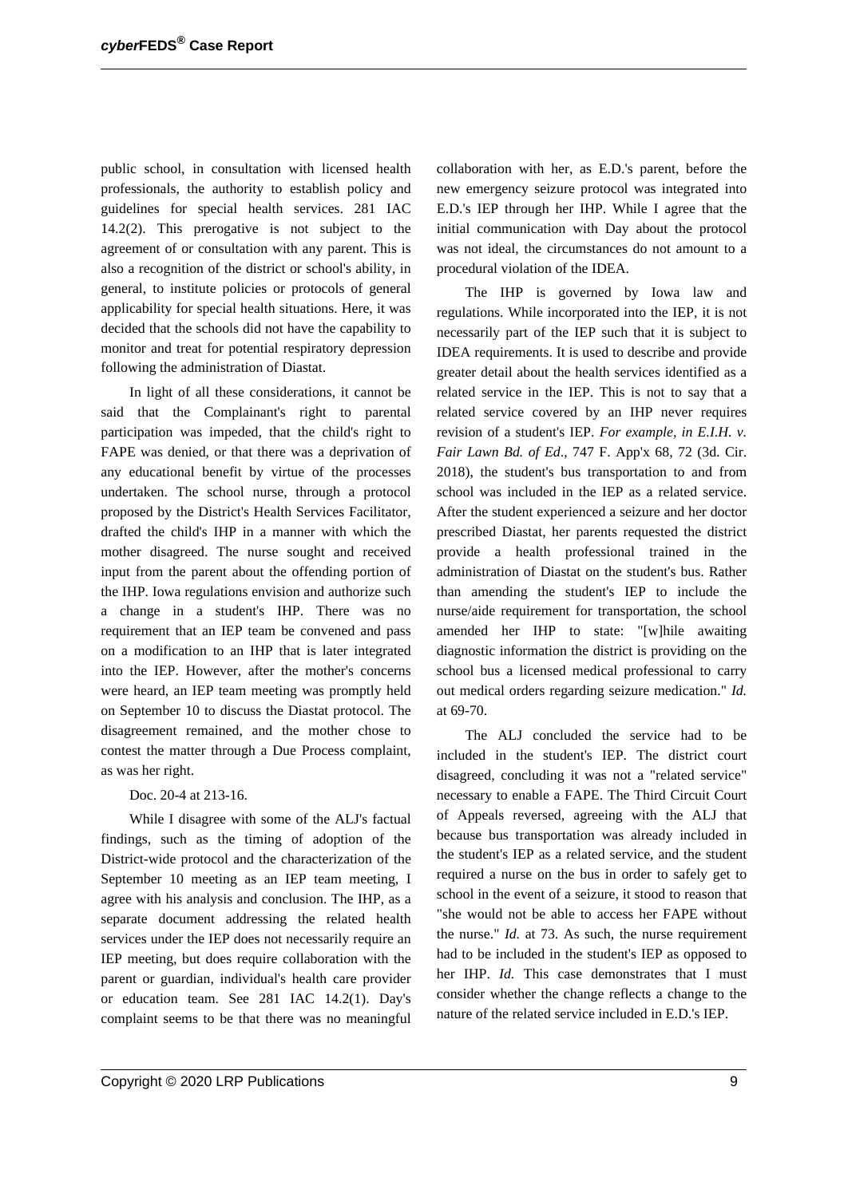public school, in consultation with licensed health professionals, the authority to establish policy and guidelines for special health services. 281 IAC 14.2(2). This prerogative is not subject to the agreement of or consultation with any parent. This is also a recognition of the district or school's ability, in general, to institute policies or protocols of general applicability for special health situations. Here, it was decided that the schools did not have the capability to monitor and treat for potential respiratory depression following the administration of Diastat.

In light of all these considerations, it cannot be said that the Complainant's right to parental participation was impeded, that the child's right to FAPE was denied, or that there was a deprivation of any educational benefit by virtue of the processes undertaken. The school nurse, through a protocol proposed by the District's Health Services Facilitator, drafted the child's IHP in a manner with which the mother disagreed. The nurse sought and received input from the parent about the offending portion of the IHP. Iowa regulations envision and authorize such a change in a student's IHP. There was no requirement that an IEP team be convened and pass on a modification to an IHP that is later integrated into the IEP. However, after the mother's concerns were heard, an IEP team meeting was promptly held on September 10 to discuss the Diastat protocol. The disagreement remained, and the mother chose to contest the matter through a Due Process complaint, as was her right.

### Doc. 20-4 at 213-16.

While I disagree with some of the ALJ's factual findings, such as the timing of adoption of the District-wide protocol and the characterization of the September 10 meeting as an IEP team meeting, I agree with his analysis and conclusion. The IHP, as a separate document addressing the related health services under the IEP does not necessarily require an IEP meeting, but does require collaboration with the parent or guardian, individual's health care provider or education team. See 281 IAC 14.2(1). Day's complaint seems to be that there was no meaningful collaboration with her, as E.D.'s parent, before the new emergency seizure protocol was integrated into E.D.'s IEP through her IHP. While I agree that the initial communication with Day about the protocol was not ideal, the circumstances do not amount to a procedural violation of the IDEA.

The IHP is governed by Iowa law and regulations. While incorporated into the IEP, it is not necessarily part of the IEP such that it is subject to IDEA requirements. It is used to describe and provide greater detail about the health services identified as a related service in the IEP. This is not to say that a related service covered by an IHP never requires revision of a student's IEP. *For example, in E.I.H. v. Fair Lawn Bd. of Ed*., 747 F. App'x 68, 72 (3d. Cir. 2018), the student's bus transportation to and from school was included in the IEP as a related service. After the student experienced a seizure and her doctor prescribed Diastat, her parents requested the district provide a health professional trained in the administration of Diastat on the student's bus. Rather than amending the student's IEP to include the nurse/aide requirement for transportation, the school amended her IHP to state: "[w]hile awaiting diagnostic information the district is providing on the school bus a licensed medical professional to carry out medical orders regarding seizure medication." *Id.* at 69-70.

The ALJ concluded the service had to be included in the student's IEP. The district court disagreed, concluding it was not a "related service" necessary to enable a FAPE. The Third Circuit Court of Appeals reversed, agreeing with the ALJ that because bus transportation was already included in the student's IEP as a related service, and the student required a nurse on the bus in order to safely get to school in the event of a seizure, it stood to reason that "she would not be able to access her FAPE without the nurse." *Id.* at 73. As such, the nurse requirement had to be included in the student's IEP as opposed to her IHP. *Id.* This case demonstrates that I must consider whether the change reflects a change to the nature of the related service included in E.D.'s IEP.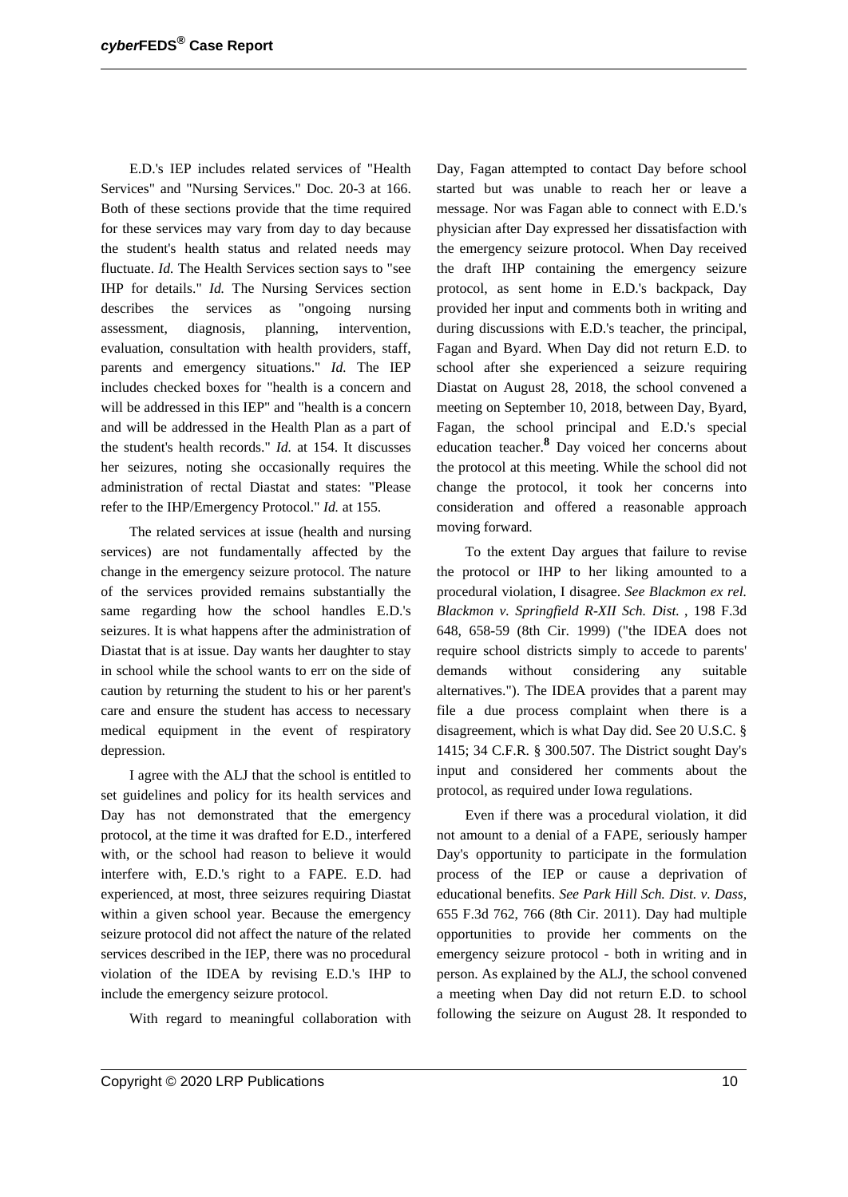E.D.'s IEP includes related services of "Health Services" and "Nursing Services." Doc. 20-3 at 166. Both of these sections provide that the time required for these services may vary from day to day because the student's health status and related needs may fluctuate. *Id.* The Health Services section says to "see IHP for details." *Id.* The Nursing Services section describes the services as "ongoing nursing assessment, diagnosis, planning, intervention, evaluation, consultation with health providers, staff, parents and emergency situations." *Id.* The IEP includes checked boxes for "health is a concern and will be addressed in this IEP" and "health is a concern and will be addressed in the Health Plan as a part of the student's health records." *Id.* at 154. It discusses her seizures, noting she occasionally requires the administration of rectal Diastat and states: "Please refer to the IHP/Emergency Protocol." *Id.* at 155.

The related services at issue (health and nursing services) are not fundamentally affected by the change in the emergency seizure protocol. The nature of the services provided remains substantially the same regarding how the school handles E.D.'s seizures. It is what happens after the administration of Diastat that is at issue. Day wants her daughter to stay in school while the school wants to err on the side of caution by returning the student to his or her parent's care and ensure the student has access to necessary medical equipment in the event of respiratory depression.

I agree with the ALJ that the school is entitled to set guidelines and policy for its health services and Day has not demonstrated that the emergency protocol, at the time it was drafted for E.D., interfered with, or the school had reason to believe it would interfere with, E.D.'s right to a FAPE. E.D. had experienced, at most, three seizures requiring Diastat within a given school year. Because the emergency seizure protocol did not affect the nature of the related services described in the IEP, there was no procedural violation of the IDEA by revising E.D.'s IHP to include the emergency seizure protocol.

With regard to meaningful collaboration with

Day, Fagan attempted to contact Day before school started but was unable to reach her or leave a message. Nor was Fagan able to connect with E.D.'s physician after Day expressed her dissatisfaction with the emergency seizure protocol. When Day received the draft IHP containing the emergency seizure protocol, as sent home in E.D.'s backpack, Day provided her input and comments both in writing and during discussions with E.D.'s teacher, the principal, Fagan and Byard. When Day did not return E.D. to school after she experienced a seizure requiring Diastat on August 28, 2018, the school convened a meeting on September 10, 2018, between Day, Byard, Fagan, the school principal and E.D.'s special education teacher.**<sup>8</sup>** Day voiced her concerns about the protocol at this meeting. While the school did not change the protocol, it took her concerns into consideration and offered a reasonable approach moving forward.

To the extent Day argues that failure to revise the protocol or IHP to her liking amounted to a procedural violation, I disagree. *See Blackmon ex rel. Blackmon v. Springfield R-XII Sch. Dist.* , 198 F.3d 648, 658-59 (8th Cir. 1999) ("the IDEA does not require school districts simply to accede to parents' demands without considering any suitable alternatives."). The IDEA provides that a parent may file a due process complaint when there is a disagreement, which is what Day did. See 20 U.S.C. § 1415; 34 C.F.R. § 300.507. The District sought Day's input and considered her comments about the protocol, as required under Iowa regulations.

Even if there was a procedural violation, it did not amount to a denial of a FAPE, seriously hamper Day's opportunity to participate in the formulation process of the IEP or cause a deprivation of educational benefits. *See Park Hill Sch. Dist. v. Dass,* 655 F.3d 762, 766 (8th Cir. 2011). Day had multiple opportunities to provide her comments on the emergency seizure protocol - both in writing and in person. As explained by the ALJ, the school convened a meeting when Day did not return E.D. to school following the seizure on August 28. It responded to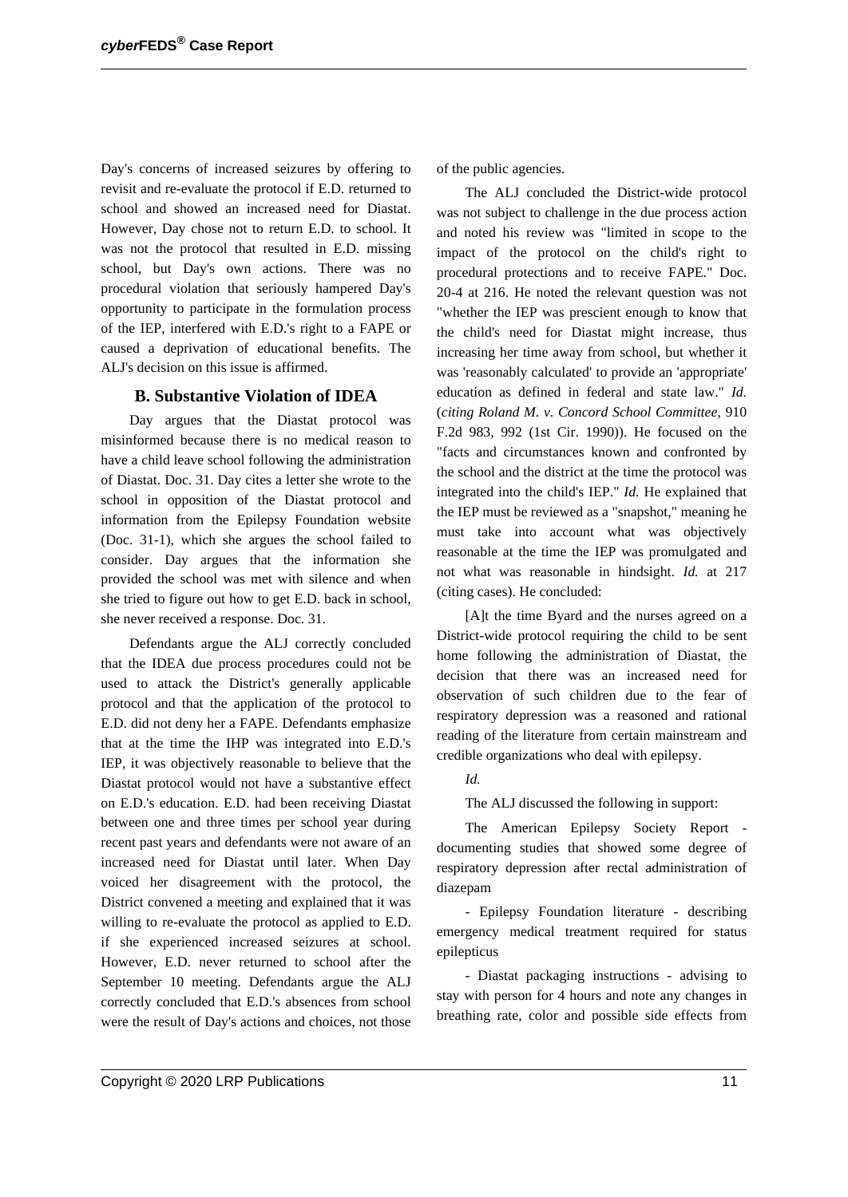Day's concerns of increased seizures by offering to revisit and re-evaluate the protocol if E.D. returned to school and showed an increased need for Diastat. However, Day chose not to return E.D. to school. It was not the protocol that resulted in E.D. missing school, but Day's own actions. There was no procedural violation that seriously hampered Day's opportunity to participate in the formulation process of the IEP, interfered with E.D.'s right to a FAPE or caused a deprivation of educational benefits. The ALJ's decision on this issue is affirmed.

### **B. Substantive Violation of IDEA**

Day argues that the Diastat protocol was misinformed because there is no medical reason to have a child leave school following the administration of Diastat. Doc. 31. Day cites a letter she wrote to the school in opposition of the Diastat protocol and information from the Epilepsy Foundation website (Doc. 31-1), which she argues the school failed to consider. Day argues that the information she provided the school was met with silence and when she tried to figure out how to get E.D. back in school, she never received a response. Doc. 31.

Defendants argue the ALJ correctly concluded that the IDEA due process procedures could not be used to attack the District's generally applicable protocol and that the application of the protocol to E.D. did not deny her a FAPE. Defendants emphasize that at the time the IHP was integrated into E.D.'s IEP, it was objectively reasonable to believe that the Diastat protocol would not have a substantive effect on E.D.'s education. E.D. had been receiving Diastat between one and three times per school year during recent past years and defendants were not aware of an increased need for Diastat until later. When Day voiced her disagreement with the protocol, the District convened a meeting and explained that it was willing to re-evaluate the protocol as applied to E.D. if she experienced increased seizures at school. However, E.D. never returned to school after the September 10 meeting. Defendants argue the ALJ correctly concluded that E.D.'s absences from school were the result of Day's actions and choices, not those of the public agencies.

The ALJ concluded the District-wide protocol was not subject to challenge in the due process action and noted his review was "limited in scope to the impact of the protocol on the child's right to procedural protections and to receive FAPE." Doc. 20-4 at 216. He noted the relevant question was not "whether the IEP was prescient enough to know that the child's need for Diastat might increase, thus increasing her time away from school, but whether it was 'reasonably calculated' to provide an 'appropriate' education as defined in federal and state law." *Id.* (*citing Roland M. v. Concord School Committee*, 910 F.2d 983, 992 (1st Cir. 1990)). He focused on the "facts and circumstances known and confronted by the school and the district at the time the protocol was integrated into the child's IEP." *Id.* He explained that the IEP must be reviewed as a "snapshot," meaning he must take into account what was objectively reasonable at the time the IEP was promulgated and not what was reasonable in hindsight. *Id.* at 217 (citing cases). He concluded:

[A]t the time Byard and the nurses agreed on a District-wide protocol requiring the child to be sent home following the administration of Diastat, the decision that there was an increased need for observation of such children due to the fear of respiratory depression was a reasoned and rational reading of the literature from certain mainstream and credible organizations who deal with epilepsy.

### *Id.*

The ALJ discussed the following in support:

The American Epilepsy Society Report documenting studies that showed some degree of respiratory depression after rectal administration of diazepam

- Epilepsy Foundation literature - describing emergency medical treatment required for status epilepticus

- Diastat packaging instructions - advising to stay with person for 4 hours and note any changes in breathing rate, color and possible side effects from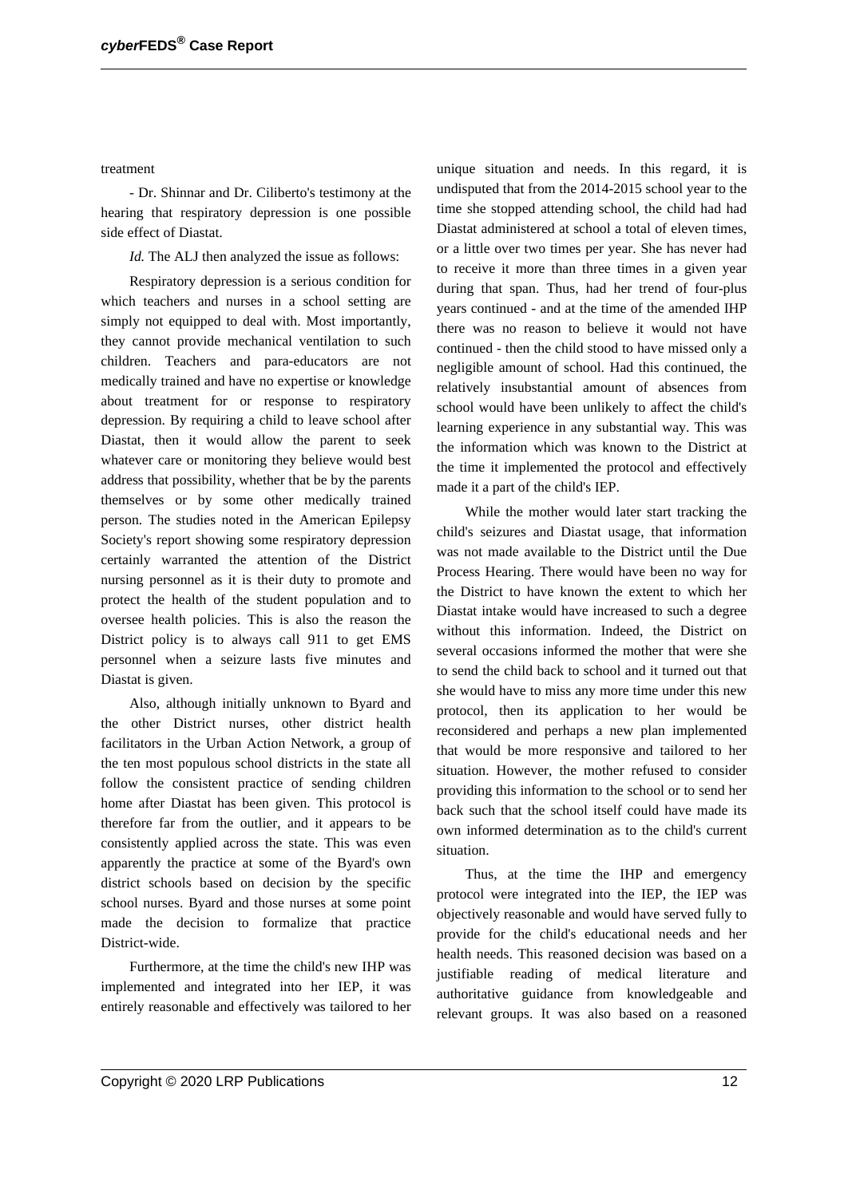treatment

- Dr. Shinnar and Dr. Ciliberto's testimony at the hearing that respiratory depression is one possible side effect of Diastat.

*Id.* The ALJ then analyzed the issue as follows:

Respiratory depression is a serious condition for which teachers and nurses in a school setting are simply not equipped to deal with. Most importantly, they cannot provide mechanical ventilation to such children. Teachers and para-educators are not medically trained and have no expertise or knowledge about treatment for or response to respiratory depression. By requiring a child to leave school after Diastat, then it would allow the parent to seek whatever care or monitoring they believe would best address that possibility, whether that be by the parents themselves or by some other medically trained person. The studies noted in the American Epilepsy Society's report showing some respiratory depression certainly warranted the attention of the District nursing personnel as it is their duty to promote and protect the health of the student population and to oversee health policies. This is also the reason the District policy is to always call 911 to get EMS personnel when a seizure lasts five minutes and Diastat is given.

Also, although initially unknown to Byard and the other District nurses, other district health facilitators in the Urban Action Network, a group of the ten most populous school districts in the state all follow the consistent practice of sending children home after Diastat has been given. This protocol is therefore far from the outlier, and it appears to be consistently applied across the state. This was even apparently the practice at some of the Byard's own district schools based on decision by the specific school nurses. Byard and those nurses at some point made the decision to formalize that practice District-wide.

Furthermore, at the time the child's new IHP was implemented and integrated into her IEP, it was entirely reasonable and effectively was tailored to her unique situation and needs. In this regard, it is undisputed that from the 2014-2015 school year to the time she stopped attending school, the child had had Diastat administered at school a total of eleven times, or a little over two times per year. She has never had to receive it more than three times in a given year during that span. Thus, had her trend of four-plus years continued - and at the time of the amended IHP there was no reason to believe it would not have continued - then the child stood to have missed only a negligible amount of school. Had this continued, the relatively insubstantial amount of absences from school would have been unlikely to affect the child's learning experience in any substantial way. This was the information which was known to the District at the time it implemented the protocol and effectively made it a part of the child's IEP.

While the mother would later start tracking the child's seizures and Diastat usage, that information was not made available to the District until the Due Process Hearing. There would have been no way for the District to have known the extent to which her Diastat intake would have increased to such a degree without this information. Indeed, the District on several occasions informed the mother that were she to send the child back to school and it turned out that she would have to miss any more time under this new protocol, then its application to her would be reconsidered and perhaps a new plan implemented that would be more responsive and tailored to her situation. However, the mother refused to consider providing this information to the school or to send her back such that the school itself could have made its own informed determination as to the child's current situation.

Thus, at the time the IHP and emergency protocol were integrated into the IEP, the IEP was objectively reasonable and would have served fully to provide for the child's educational needs and her health needs. This reasoned decision was based on a justifiable reading of medical literature and authoritative guidance from knowledgeable and relevant groups. It was also based on a reasoned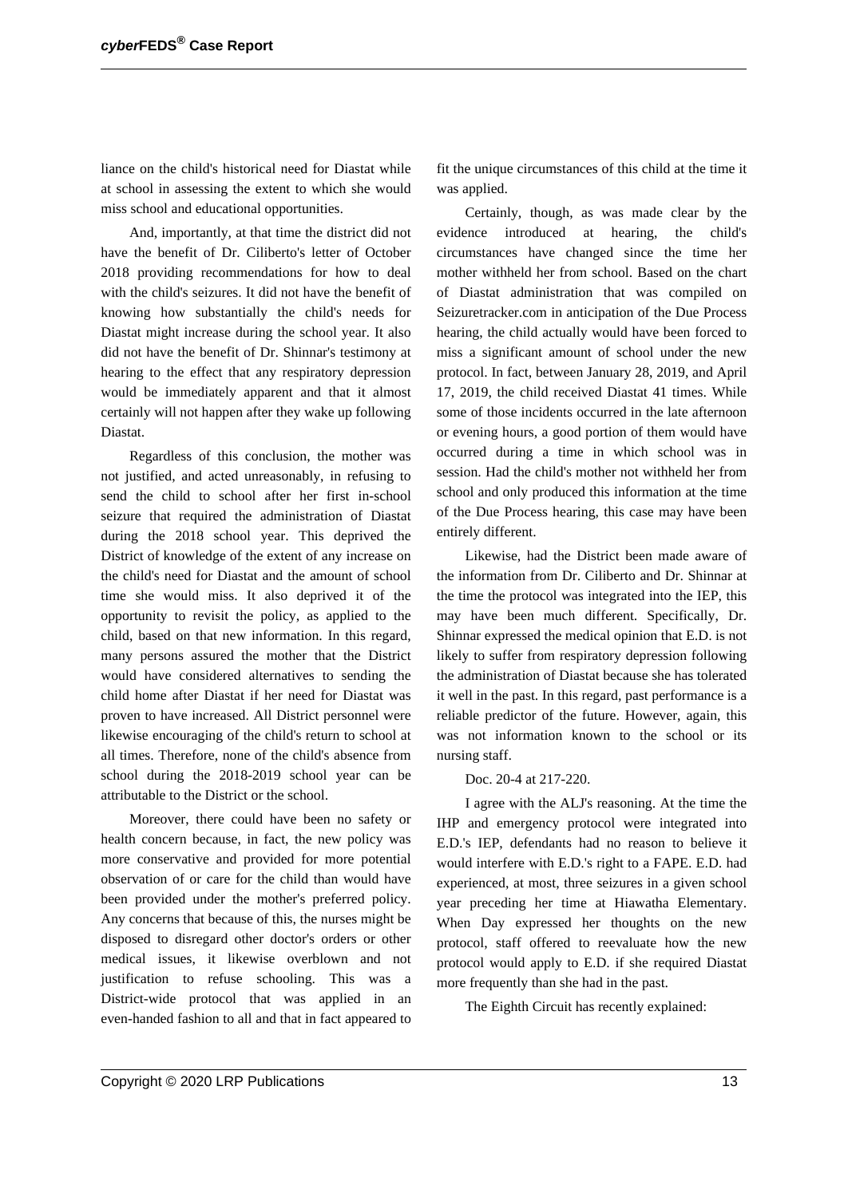liance on the child's historical need for Diastat while at school in assessing the extent to which she would miss school and educational opportunities.

And, importantly, at that time the district did not have the benefit of Dr. Ciliberto's letter of October 2018 providing recommendations for how to deal with the child's seizures. It did not have the benefit of knowing how substantially the child's needs for Diastat might increase during the school year. It also did not have the benefit of Dr. Shinnar's testimony at hearing to the effect that any respiratory depression would be immediately apparent and that it almost certainly will not happen after they wake up following Diastat.

Regardless of this conclusion, the mother was not justified, and acted unreasonably, in refusing to send the child to school after her first in-school seizure that required the administration of Diastat during the 2018 school year. This deprived the District of knowledge of the extent of any increase on the child's need for Diastat and the amount of school time she would miss. It also deprived it of the opportunity to revisit the policy, as applied to the child, based on that new information. In this regard, many persons assured the mother that the District would have considered alternatives to sending the child home after Diastat if her need for Diastat was proven to have increased. All District personnel were likewise encouraging of the child's return to school at all times. Therefore, none of the child's absence from school during the 2018-2019 school year can be attributable to the District or the school.

Moreover, there could have been no safety or health concern because, in fact, the new policy was more conservative and provided for more potential observation of or care for the child than would have been provided under the mother's preferred policy. Any concerns that because of this, the nurses might be disposed to disregard other doctor's orders or other medical issues, it likewise overblown and not justification to refuse schooling. This was a District-wide protocol that was applied in an even-handed fashion to all and that in fact appeared to

fit the unique circumstances of this child at the time it was applied.

Certainly, though, as was made clear by the evidence introduced at hearing, the child's circumstances have changed since the time her mother withheld her from school. Based on the chart of Diastat administration that was compiled on Seizuretracker.com in anticipation of the Due Process hearing, the child actually would have been forced to miss a significant amount of school under the new protocol. In fact, between January 28, 2019, and April 17, 2019, the child received Diastat 41 times. While some of those incidents occurred in the late afternoon or evening hours, a good portion of them would have occurred during a time in which school was in session. Had the child's mother not withheld her from school and only produced this information at the time of the Due Process hearing, this case may have been entirely different.

Likewise, had the District been made aware of the information from Dr. Ciliberto and Dr. Shinnar at the time the protocol was integrated into the IEP, this may have been much different. Specifically, Dr. Shinnar expressed the medical opinion that E.D. is not likely to suffer from respiratory depression following the administration of Diastat because she has tolerated it well in the past. In this regard, past performance is a reliable predictor of the future. However, again, this was not information known to the school or its nursing staff.

#### Doc. 20-4 at 217-220.

I agree with the ALJ's reasoning. At the time the IHP and emergency protocol were integrated into E.D.'s IEP, defendants had no reason to believe it would interfere with E.D.'s right to a FAPE. E.D. had experienced, at most, three seizures in a given school year preceding her time at Hiawatha Elementary. When Day expressed her thoughts on the new protocol, staff offered to reevaluate how the new protocol would apply to E.D. if she required Diastat more frequently than she had in the past.

The Eighth Circuit has recently explained: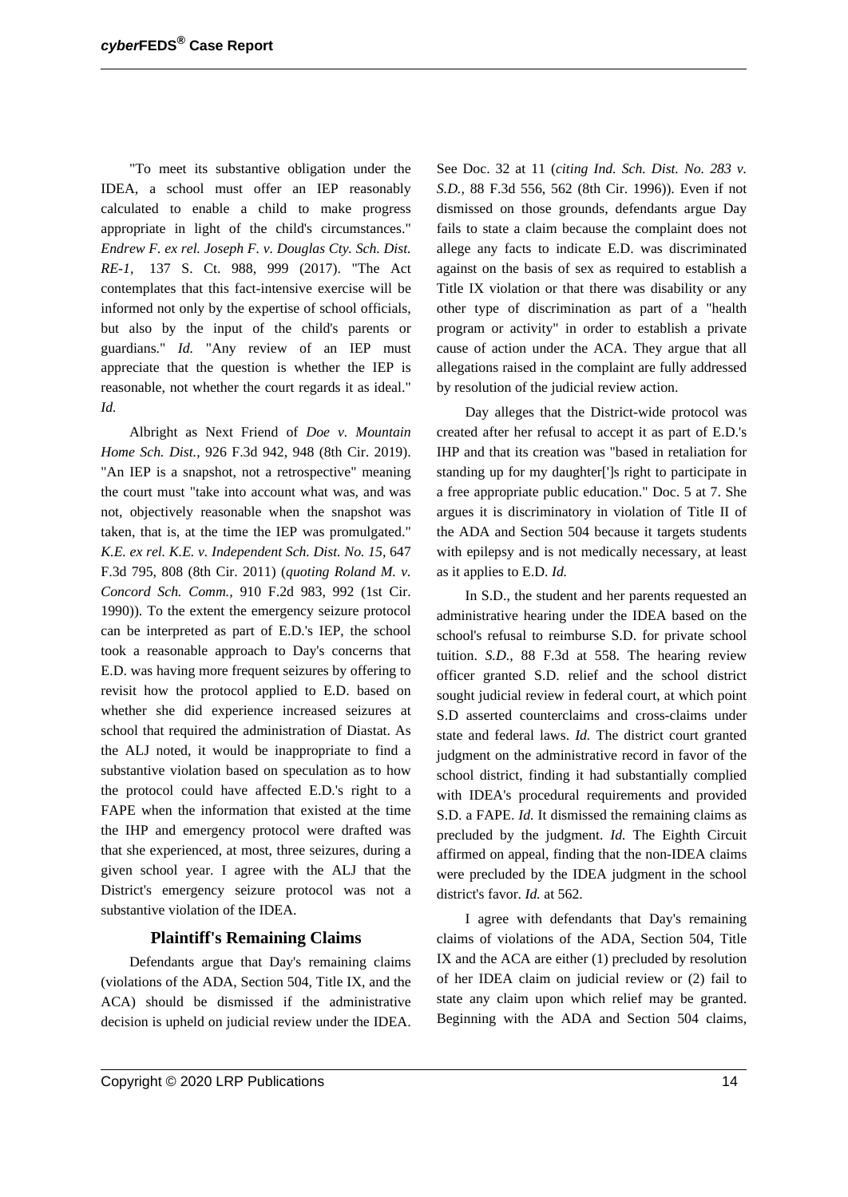"To meet its substantive obligation under the IDEA, a school must offer an IEP reasonably calculated to enable a child to make progress appropriate in light of the child's circumstances." *Endrew F. ex rel. Joseph F. v. Douglas Cty. Sch. Dist. RE-1,* 137 S. Ct. 988, 999 (2017). "The Act contemplates that this fact-intensive exercise will be informed not only by the expertise of school officials, but also by the input of the child's parents or guardians." *Id.* "Any review of an IEP must appreciate that the question is whether the IEP is reasonable, not whether the court regards it as ideal." *Id.*

Albright as Next Friend of *Doe v. Mountain Home Sch. Dist.*, 926 F.3d 942, 948 (8th Cir. 2019). "An IEP is a snapshot, not a retrospective" meaning the court must "take into account what was, and was not, objectively reasonable when the snapshot was taken, that is, at the time the IEP was promulgated." *K.E. ex rel. K.E. v. Independent Sch. Dist. No. 15,* 647 F.3d 795, 808 (8th Cir. 2011) (*quoting Roland M. v. Concord Sch. Comm.,* 910 F.2d 983, 992 (1st Cir. 1990)). To the extent the emergency seizure protocol can be interpreted as part of E.D.'s IEP, the school took a reasonable approach to Day's concerns that E.D. was having more frequent seizures by offering to revisit how the protocol applied to E.D. based on whether she did experience increased seizures at school that required the administration of Diastat. As the ALJ noted, it would be inappropriate to find a substantive violation based on speculation as to how the protocol could have affected E.D.'s right to a FAPE when the information that existed at the time the IHP and emergency protocol were drafted was that she experienced, at most, three seizures, during a given school year. I agree with the ALJ that the District's emergency seizure protocol was not a substantive violation of the IDEA.

### **Plaintiff's Remaining Claims**

Defendants argue that Day's remaining claims (violations of the ADA, Section 504, Title IX, and the ACA) should be dismissed if the administrative decision is upheld on judicial review under the IDEA.

See Doc. 32 at 11 (*citing Ind. Sch. Dist. No. 283 v. S.D.,* 88 F.3d 556, 562 (8th Cir. 1996)). Even if not dismissed on those grounds, defendants argue Day fails to state a claim because the complaint does not allege any facts to indicate E.D. was discriminated against on the basis of sex as required to establish a Title IX violation or that there was disability or any other type of discrimination as part of a "health program or activity" in order to establish a private cause of action under the ACA. They argue that all allegations raised in the complaint are fully addressed by resolution of the judicial review action.

Day alleges that the District-wide protocol was created after her refusal to accept it as part of E.D.'s IHP and that its creation was "based in retaliation for standing up for my daughter[']s right to participate in a free appropriate public education." Doc. 5 at 7. She argues it is discriminatory in violation of Title II of the ADA and Section 504 because it targets students with epilepsy and is not medically necessary, at least as it applies to E.D. *Id.*

In S.D., the student and her parents requested an administrative hearing under the IDEA based on the school's refusal to reimburse S.D. for private school tuition. *S.D.,* 88 F.3d at 558. The hearing review officer granted S.D. relief and the school district sought judicial review in federal court, at which point S.D asserted counterclaims and cross-claims under state and federal laws. *Id.* The district court granted judgment on the administrative record in favor of the school district, finding it had substantially complied with IDEA's procedural requirements and provided S.D. a FAPE. *Id.* It dismissed the remaining claims as precluded by the judgment. *Id.* The Eighth Circuit affirmed on appeal, finding that the non-IDEA claims were precluded by the IDEA judgment in the school district's favor. *Id.* at 562.

I agree with defendants that Day's remaining claims of violations of the ADA, Section 504, Title IX and the ACA are either (1) precluded by resolution of her IDEA claim on judicial review or (2) fail to state any claim upon which relief may be granted. Beginning with the ADA and Section 504 claims,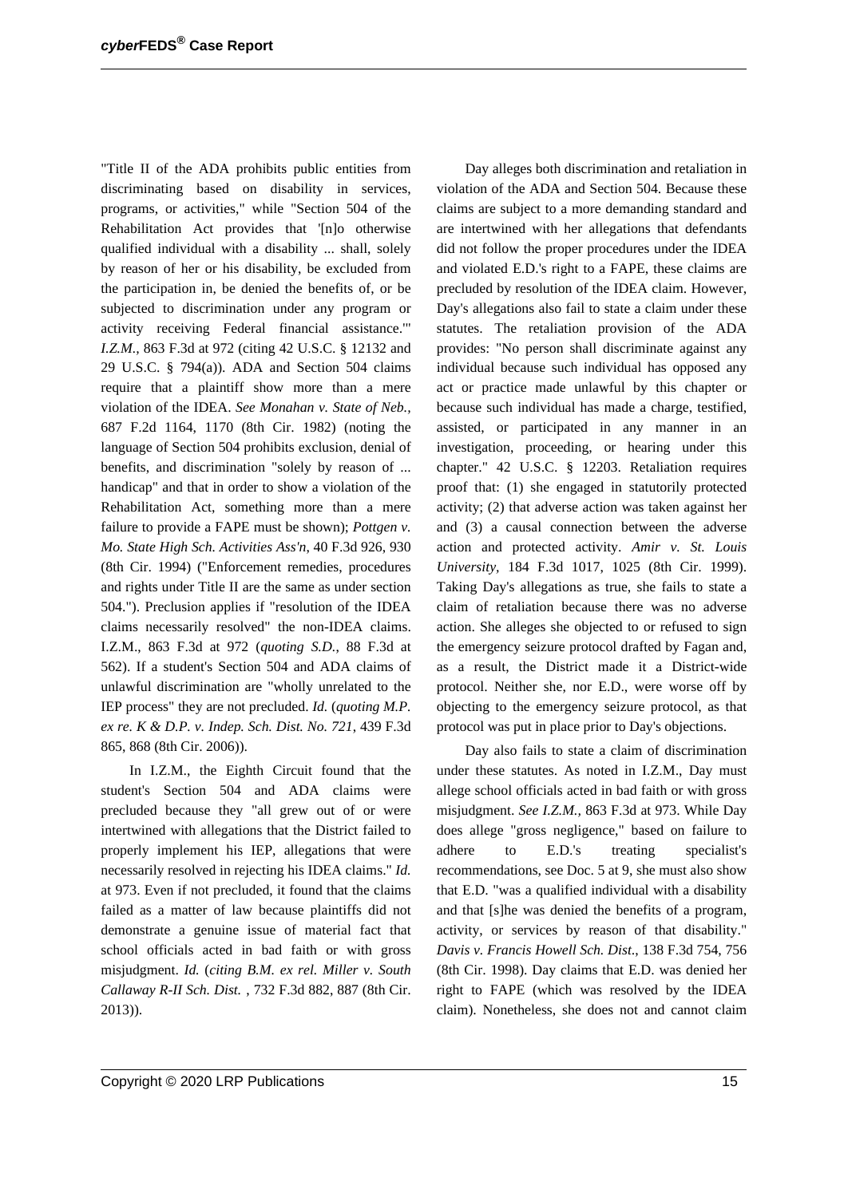"Title II of the ADA prohibits public entities from discriminating based on disability in services, programs, or activities," while "Section 504 of the Rehabilitation Act provides that '[n]o otherwise qualified individual with a disability ... shall, solely by reason of her or his disability, be excluded from the participation in, be denied the benefits of, or be subjected to discrimination under any program or activity receiving Federal financial assistance.'" *I.Z.M.*, 863 F.3d at 972 (citing 42 U.S.C. § 12132 and 29 U.S.C. § 794(a)). ADA and Section 504 claims require that a plaintiff show more than a mere violation of the IDEA. *See Monahan v. State of Neb.,* 687 F.2d 1164, 1170 (8th Cir. 1982) (noting the language of Section 504 prohibits exclusion, denial of benefits, and discrimination "solely by reason of ... handicap" and that in order to show a violation of the Rehabilitation Act, something more than a mere failure to provide a FAPE must be shown); *Pottgen v. Mo. State High Sch. Activities Ass'n*, 40 F.3d 926, 930 (8th Cir. 1994) ("Enforcement remedies, procedures and rights under Title II are the same as under section 504."). Preclusion applies if "resolution of the IDEA claims necessarily resolved" the non-IDEA claims. I.Z.M., 863 F.3d at 972 (*quoting S.D.*, 88 F.3d at 562). If a student's Section 504 and ADA claims of unlawful discrimination are "wholly unrelated to the IEP process" they are not precluded. *Id.* (*quoting M.P. ex re. K & D.P. v. Indep. Sch. Dist. No. 721*, 439 F.3d 865, 868 (8th Cir. 2006)).

In I.Z.M., the Eighth Circuit found that the student's Section 504 and ADA claims were precluded because they "all grew out of or were intertwined with allegations that the District failed to properly implement his IEP, allegations that were necessarily resolved in rejecting his IDEA claims." *Id.* at 973. Even if not precluded, it found that the claims failed as a matter of law because plaintiffs did not demonstrate a genuine issue of material fact that school officials acted in bad faith or with gross misjudgment. *Id.* (*citing B.M. ex rel. Miller v. South Callaway R-II Sch. Dist.* , 732 F.3d 882, 887 (8th Cir. 2013)).

Day alleges both discrimination and retaliation in violation of the ADA and Section 504. Because these claims are subject to a more demanding standard and are intertwined with her allegations that defendants did not follow the proper procedures under the IDEA and violated E.D.'s right to a FAPE, these claims are precluded by resolution of the IDEA claim. However, Day's allegations also fail to state a claim under these statutes. The retaliation provision of the ADA provides: "No person shall discriminate against any individual because such individual has opposed any act or practice made unlawful by this chapter or because such individual has made a charge, testified, assisted, or participated in any manner in an investigation, proceeding, or hearing under this chapter." 42 U.S.C. § 12203. Retaliation requires proof that: (1) she engaged in statutorily protected activity; (2) that adverse action was taken against her and (3) a causal connection between the adverse action and protected activity. *Amir v. St. Louis University,* 184 F.3d 1017, 1025 (8th Cir. 1999). Taking Day's allegations as true, she fails to state a claim of retaliation because there was no adverse action. She alleges she objected to or refused to sign the emergency seizure protocol drafted by Fagan and, as a result, the District made it a District-wide protocol. Neither she, nor E.D., were worse off by objecting to the emergency seizure protocol, as that protocol was put in place prior to Day's objections.

Day also fails to state a claim of discrimination under these statutes. As noted in I.Z.M., Day must allege school officials acted in bad faith or with gross misjudgment. *See I.Z.M.,* 863 F.3d at 973. While Day does allege "gross negligence," based on failure to adhere to E.D.'s treating specialist's recommendations, see Doc. 5 at 9, she must also show that E.D. "was a qualified individual with a disability and that [s]he was denied the benefits of a program, activity, or services by reason of that disability." *Davis v. Francis Howell Sch. Dist*., 138 F.3d 754, 756 (8th Cir. 1998). Day claims that E.D. was denied her right to FAPE (which was resolved by the IDEA claim). Nonetheless, she does not and cannot claim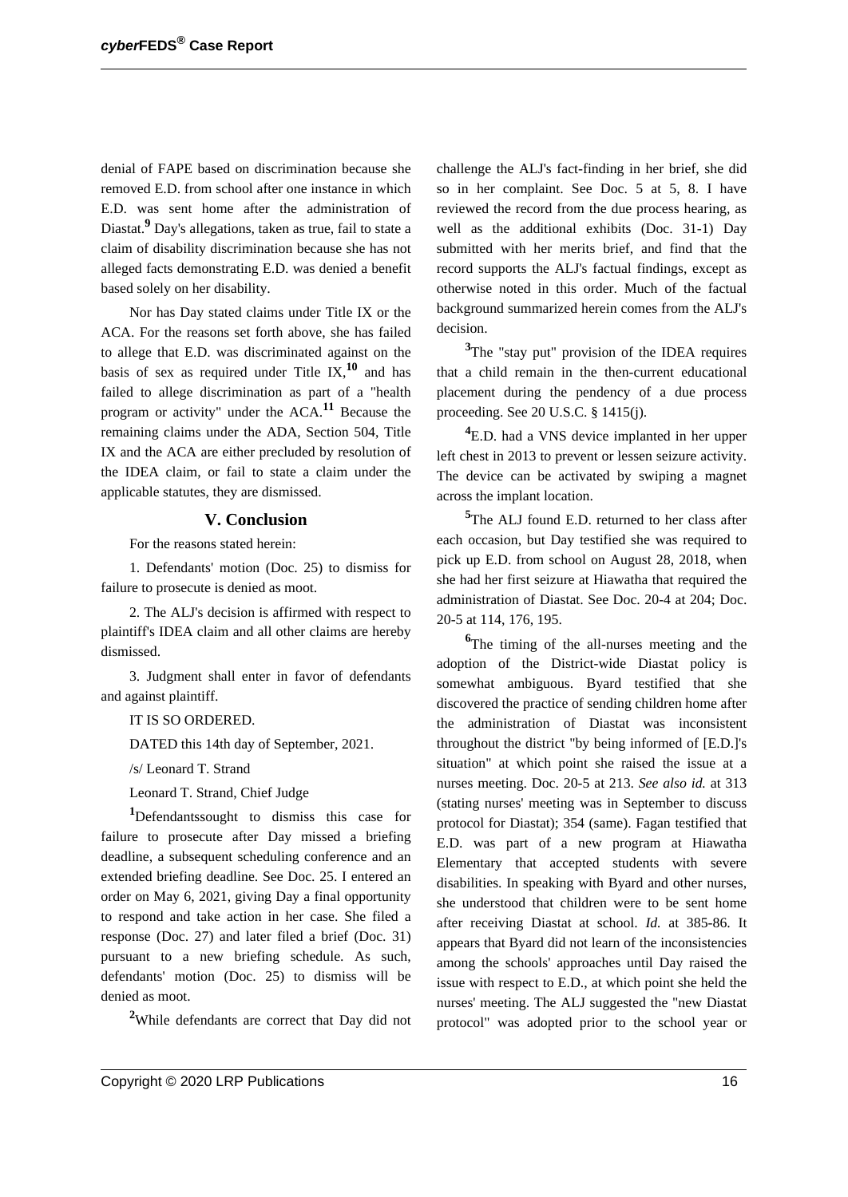denial of FAPE based on discrimination because she removed E.D. from school after one instance in which E.D. was sent home after the administration of Diastat.<sup>9</sup> Day's allegations, taken as true, fail to state a claim of disability discrimination because she has not alleged facts demonstrating E.D. was denied a benefit based solely on her disability.

Nor has Day stated claims under Title IX or the ACA. For the reasons set forth above, she has failed to allege that E.D. was discriminated against on the basis of sex as required under Title IX,**<sup>10</sup>** and has failed to allege discrimination as part of a "health program or activity" under the ACA.**<sup>11</sup>** Because the remaining claims under the ADA, Section 504, Title IX and the ACA are either precluded by resolution of the IDEA claim, or fail to state a claim under the applicable statutes, they are dismissed.

#### **V. Conclusion**

For the reasons stated herein:

1. Defendants' motion (Doc. 25) to dismiss for failure to prosecute is denied as moot.

2. The ALJ's decision is affirmed with respect to plaintiff's IDEA claim and all other claims are hereby dismissed.

3. Judgment shall enter in favor of defendants and against plaintiff.

IT IS SO ORDERED.

DATED this 14th day of September, 2021.

/s/ Leonard T. Strand

Leonard T. Strand, Chief Judge

**<sup>1</sup>**Defendantssought to dismiss this case for failure to prosecute after Day missed a briefing deadline, a subsequent scheduling conference and an extended briefing deadline. See Doc. 25. I entered an order on May 6, 2021, giving Day a final opportunity to respond and take action in her case. She filed a response (Doc. 27) and later filed a brief (Doc. 31) pursuant to a new briefing schedule. As such, defendants' motion (Doc. 25) to dismiss will be denied as moot.

**<sup>2</sup>**While defendants are correct that Day did not

challenge the ALJ's fact-finding in her brief, she did so in her complaint. See Doc. 5 at 5, 8. I have reviewed the record from the due process hearing, as well as the additional exhibits (Doc. 31-1) Day submitted with her merits brief, and find that the record supports the ALJ's factual findings, except as otherwise noted in this order. Much of the factual background summarized herein comes from the ALJ's decision.

<sup>3</sup>The "stay put" provision of the IDEA requires that a child remain in the then-current educational placement during the pendency of a due process proceeding. See 20 U.S.C. § 1415(j).

**<sup>4</sup>**E.D. had a VNS device implanted in her upper left chest in 2013 to prevent or lessen seizure activity. The device can be activated by swiping a magnet across the implant location.

**<sup>5</sup>**The ALJ found E.D. returned to her class after each occasion, but Day testified she was required to pick up E.D. from school on August 28, 2018, when she had her first seizure at Hiawatha that required the administration of Diastat. See Doc. 20-4 at 204; Doc. 20-5 at 114, 176, 195.

<sup>6</sup>The timing of the all-nurses meeting and the adoption of the District-wide Diastat policy is somewhat ambiguous. Byard testified that she discovered the practice of sending children home after the administration of Diastat was inconsistent throughout the district "by being informed of [E.D.]'s situation" at which point she raised the issue at a nurses meeting. Doc. 20-5 at 213. *See also id.* at 313 (stating nurses' meeting was in September to discuss protocol for Diastat); 354 (same). Fagan testified that E.D. was part of a new program at Hiawatha Elementary that accepted students with severe disabilities. In speaking with Byard and other nurses, she understood that children were to be sent home after receiving Diastat at school. *Id.* at 385-86. It appears that Byard did not learn of the inconsistencies among the schools' approaches until Day raised the issue with respect to E.D., at which point she held the nurses' meeting. The ALJ suggested the "new Diastat protocol" was adopted prior to the school year or